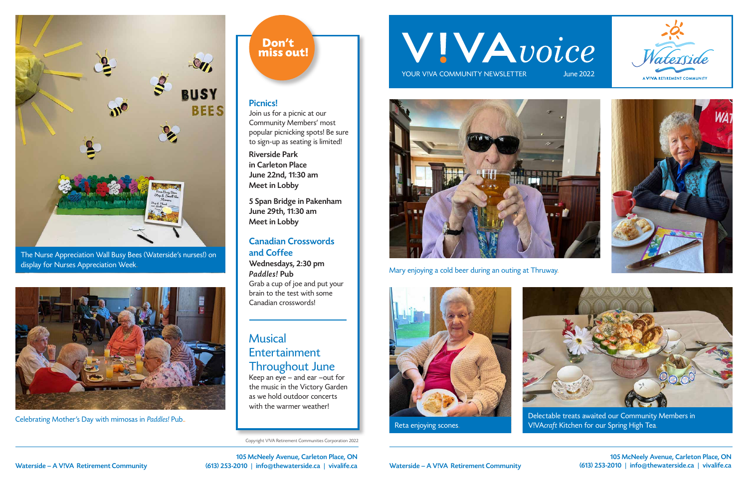105 McNeely Avenue, Carleton Place, ON Waterside – A V!VA Retirement Community (613) 253-2010 | info@thewaterside.ca | vivalife.ca

Copyright V!VA Retirement Communities Corporation 2022

# WIVAvoice

YOUR VIVA COMMUNITY NEWSLETTER



Reta enjoying scones.



Delectable treats awaited our Community Members in V!VAcraft Kitchen for our Spring High Tea.

105 McNeely Avenue, Carleton Place, ON Waterside – A V!VA Retirement Community (613) 253-2010 | info@thewaterside.ca | vivalife.ca

Mary enjoying a cold beer during an outing at Thruway.





The Nurse Appreciation Wall Busy Bees (Waterside's nurses!) on display for Nurses Appreciation Week.



Celebrating Mother's Day with mimosas in Paddles! Pub..

#### Don't miss out!

#### Picnics!

Join us for a picnic at our Community Members' most popular picnicking spots! Be sure to sign-up as seating is limited!

Riverside Park in Carleton Place June 22nd, 11:30 am Meet in Lobby

5 Span Bridge in Pakenham June 29th, 11:30 am Meet in Lobby

#### Canadian Crosswords and Coffee

Wednesdays, 2:30 pm Paddles! Pub Grab a cup of joe and put your brain to the test with some Canadian crosswords!

## Musical **Entertainment** Throughout June

Keep an eye – and ear –out for the music in the Victory Garden as we hold outdoor concerts with the warmer weather!







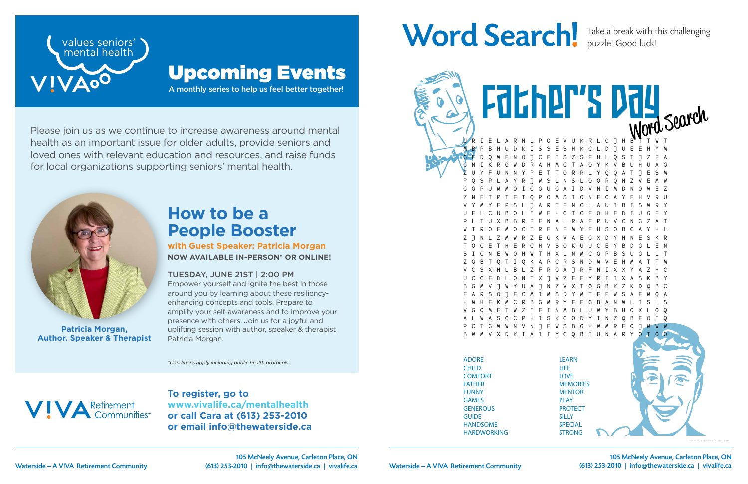T**o register, go to www.vivalife.ca/mentalhealth or call Cara at (613) 253-2010 or email info@thewaterside.ca**

## Word Search! Take a break with this challenging

Please join us as we continue to increase awareness around mental health as an important issue for older adults, provide seniors and loved ones with relevant education and resources, and raise funds for local organizations supporting seniors' mental health.



A monthly series to help us feel better together!



## Upcoming Events

*\*Conditions apply including public health protocols.*



## **How to be a People Booster**

ADORE LEARN E V U K R L O J H M B P B H U D K I S S E S H K C L D J U E E H Y M G E D Q W E N O J C E I S Z S E H L Q S T J Z F A G N I K R O W D R A H M C T A O Y K V B U H U A G Z U Y F U N N Y P E T T O R R L Y Q Q A T J E S M P Q S P L A Y R J W S L N S L O O R Q N Z V E M W G G P U M M O I G G U G A I D V N I M D N O W E Z Z N F T P T E T Q P O M S I O N F G A Y F H V R U V Y M Y E P S L J A R T F N C L A U I B I S W R Y U E L C U B O L I W E H G T C E O H E D I U G F Y P L T U X B B R E F N A L R A E P U V C N G Z A T W T R O F M O C T R E N E M Y E H S O B C A Y H L Z J N L Z M W R Z E G K V A E G X D Y N N E S K R T O G E T H E R C H V S O K U U C E Y B D G L E N S I G N E W O H W T H X L N M C G P B S U G L L T A P C R S N V C S X N L B L Z F R G A J R F N I X X Y A Z H C U C C E D L O N T X J V Z E E Y R I I X A S K B Y 8 7 N 7 V X T F A R S O J E C M I M S D Y M T E E W S A F M Q A H M H E K M C R B G M R Y E E G B A N W L I S L S V G Q M E T W Z I E I N M B L U W Y B H O X L O Q S K G O D Y I N Z N V N J E W S B G H W M R F V X D K I A I I Y C Q B I U N A R Father's Day

**with Guest Speaker: Patricia Morgan NOW AVAILABLE IN-PERSON\* OR ONLINE!**

#### TUESDAY, JUNE 21ST | 2:00 PM

Empower yourself and ignite the best in those around you by learning about these resiliencyenhancing concepts and tools. Prepare to amplify your self-awareness and to improve your presence with others. Join us for a joyful and uplifting session with author, speaker & therapist Patricia Morgan.

**Patricia Morgan, Author. Speaker & Therapist** puzzle! Good luck!

CHILD **COMFORT** FATHER FUNNY GAMES **GENEROUS GUIDE** HANDSOME HARDWORKING

Husband (1989)

LIFE LOVE **MEMORIES MENTOR** PLAY **PROTECT SILLY SPECIAL** STRONG

SWEET

Waterside – A V!VA Retirement Community (613) 253-2010 | info@thewaterside.ca | vivalife.ca 105 McNeely Avenue, Carleton Place, ON

105 McNeely Avenue, Carleton Place, ON Waterside – A V!VA Retirement Community (613) 253-2010 | info@thewaterside.ca | vivalife.ca



*www.saynotsweetanne.com*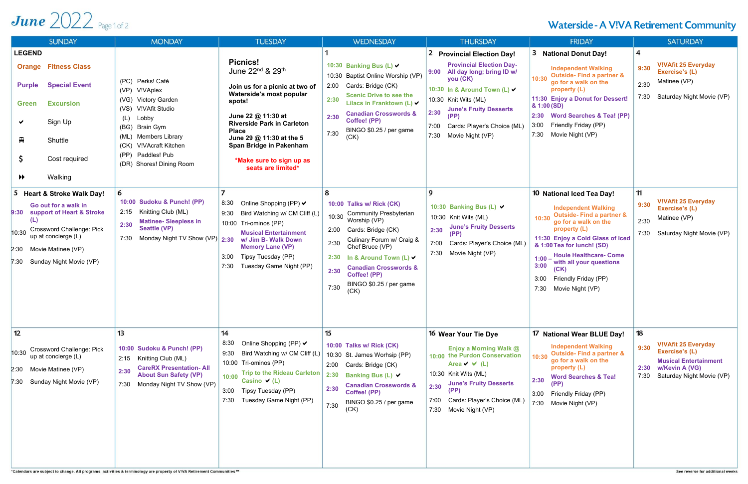## June  $2022$  Page 1 of 2

| <b>SUNDAY</b>                                                                                                                                                                                                                   | <b>MONDAY</b>                                                                                                                                                                                                                            | <b>TUESDAY</b>                                                                                                                                                                                                                                                                                                          | <b>WEDNESDAY</b>                                                                                                                                                                                                                                                                                                            | <b>THURSDAY</b>                                                                                                                                                                                                                                                                            | <b>FRIDAY</b>                                                                                                                                                                                                                                                                                                                                                         | <b>SATURDAY</b>                                                                                                                                           |
|---------------------------------------------------------------------------------------------------------------------------------------------------------------------------------------------------------------------------------|------------------------------------------------------------------------------------------------------------------------------------------------------------------------------------------------------------------------------------------|-------------------------------------------------------------------------------------------------------------------------------------------------------------------------------------------------------------------------------------------------------------------------------------------------------------------------|-----------------------------------------------------------------------------------------------------------------------------------------------------------------------------------------------------------------------------------------------------------------------------------------------------------------------------|--------------------------------------------------------------------------------------------------------------------------------------------------------------------------------------------------------------------------------------------------------------------------------------------|-----------------------------------------------------------------------------------------------------------------------------------------------------------------------------------------------------------------------------------------------------------------------------------------------------------------------------------------------------------------------|-----------------------------------------------------------------------------------------------------------------------------------------------------------|
| <b>LEGEND</b><br><b>Orange Fitness Class</b><br><b>Special Event</b><br><b>Purple</b><br><b>Excursion</b><br>Green<br>Sign Up<br>$\blacksquare$<br>Shuttle<br>$\mathsf{S}$<br>Cost required<br>Walking<br>$\blacktriangleright$ | (PC) Perks! Café<br>(VP) V!VAplex<br><b>Victory Garden</b><br>(VG)<br>(VS) V!VAfit Studio<br>Lobby<br>(L)<br>(BG) Brain Gym<br><b>Members Library</b><br>(ML)<br>(CK) V!VAcraft Kitchen<br>(PP) Paddles! Pub<br>(DR) Shores! Dining Room | <b>Picnics!</b><br>June 22 <sup>nd</sup> & 29 <sup>th</sup><br>Join us for a picnic at two of<br>Waterside's most popular<br>spots!<br>June 22 @ 11:30 at<br><b>Riverside Park in Carleton</b><br><b>Place</b><br>June 29 @ 11:30 at the 5<br>Span Bridge in Pakenham<br>*Make sure to sign up as<br>seats are limited* | 10:30 Banking Bus (L) V<br>10:30 Baptist Online Worship (VP)<br>2:00 Cards: Bridge (CK)<br><b>Scenic Drive to see the</b><br>2:30<br>Lilacs in Franktown (L) ✔<br><b>Canadian Crosswords &amp;</b><br>2:30<br>Coffee! (PP)<br>BINGO \$0.25 / per game<br>7:30<br>(CK)                                                       | 2 Provincial Election Day!<br><b>Provincial Election Day-</b><br>All day long; bring ID w/<br>9:00<br>you (CK)<br>10:30 In & Around Town (L) V<br>10:30 Knit Wits (ML)<br><b>June's Fruity Desserts</b><br>2:30<br>(PP)<br>Cards: Player's Choice (ML)<br>7:00<br>7:30<br>Movie Night (VP) | 3<br><b>National Donut Day!</b><br><b>Independent Walking</b><br><b>Outside-Find a partner &amp;</b><br>10:30<br>go for a walk on the<br>property (L)<br>11:30 Enjoy a Donut for Dessert!<br>& 1:00 (SD)<br>2:30 Word Searches & Tea! (PP)<br>Friendly Friday (PP)<br>3:00<br>7:30<br>Movie Night (VP)                                                                | $\overline{\mathbf{r}}$<br><b>V!VAfit 25 Everyday</b><br>9:30<br>Exercise's (L)<br>Matinee (VP)<br>2:30<br>Saturday Night Movie (VP)<br>7:30              |
| 5 Heart & Stroke Walk Day!<br>Go out for a walk in<br>support of Heart & Stroke<br>9:30<br>(L)<br><b>Crossword Challenge: Pick</b><br>10:30<br>up at concierge (L)<br>2:30 Movie Matinee (VP)<br>7:30 Sunday Night Movie (VP)   | 6<br>10:00 Sudoku & Punch! (PP)<br>2:15<br>Knitting Club (ML)<br><b>Matinee- Sleepless in</b><br>2:30<br><b>Seattle (VP)</b><br>Monday Night TV Show (VP)<br>7:30                                                                        | 8:30<br>Online Shopping (PP) $\vee$<br>Bird Watching w/ CM Cliff (L)<br>9:30<br>10:00 Tri-ominos (PP)<br><b>Musical Entertainment</b><br>2:30<br>w/ Jim B- Walk Down<br><b>Memory Lane (VP)</b><br>Tipsy Tuesday (PP)<br>3:00<br>7:30<br>Tuesday Game Night (PP)                                                        | 8<br>10:00 Talks w/ Rick (CK)<br><b>Community Presbyterian</b><br>10:30<br>Worship (VP)<br>Cards: Bridge (CK)<br>2:00<br>Culinary Forum w/ Craig &<br>2:30<br>Chef Bruce (VP)<br>In & Around Town (L) $\vee$<br>2:30<br><b>Canadian Crosswords &amp;</b><br>2:30<br>Coffee! (PP)<br>BINGO \$0.25 / per game<br>7:30<br>(CK) | 9<br>10:30 Banking Bus (L) V<br>10:30 Knit Wits (ML)<br><b>June's Fruity Desserts</b><br>2:30<br>(PP)<br>Cards: Player's Choice (ML)<br>7:30 Movie Night (VP)                                                                                                                              | 10 National Iced Tea Day!<br><b>Independent Walking</b><br><b>Outside-Find a partner &amp;</b><br>10:30<br>go for a walk on the<br>property (L)<br>11:30 Enjoy a Cold Glass of Iced<br>& 1:00 Tea for lunch! (SD)<br><b>Houle Healthcare- Come</b><br>$1:00 -$<br>with all your questions<br>3:00<br>(CK)<br>Friendly Friday (PP)<br>3:00<br>7:30<br>Movie Night (VP) | 11<br><b>V!VAfit 25 Everyday</b><br>9:30<br>Exercise's (L)<br>Matinee (VP)<br>2:30<br>Saturday Night Movie (VP)<br>7:30                                   |
| 12<br><b>Crossword Challenge: Pick</b><br>10:30<br>up at concierge (L)<br>2:30 Movie Matinee (VP)<br>7:30 Sunday Night Movie (VP)                                                                                               | 13<br>10:00 Sudoku & Punch! (PP)<br>2:15<br>Knitting Club (ML)<br><b>CareRX Presentation-All</b><br>2:30<br><b>About Sun Safety (VP)</b><br>Monday Night TV Show (VP)<br>7:30                                                            | 14<br>8:30<br>Online Shopping (PP) $\vee$<br>Bird Watching w/ CM Cliff (L)<br>9:30<br>10:00 Tri-ominos (PP)<br><b>Trip to the Rideau Carleton</b><br>10:00<br>Casino $\vee$ (L)<br>3:00<br>Tipsy Tuesday (PP)<br>7:30<br>Tuesday Game Night (PP)                                                                        | 15<br>10:00 Talks w/ Rick (CK)<br>10:30 St. James Worhsip (PP)<br>2:00 Cards: Bridge (CK)<br>2:30 Banking Bus (L) ✔<br><b>Canadian Crosswords &amp;</b><br>2:30<br>Coffee! (PP)<br>BINGO \$0.25 / per game<br>7:30<br>(CK)                                                                                                  | 16 Wear Your Tie Dye<br>Enjoy a Morning Walk @<br>10:00 the Purdon Conservation<br>Area $\vee$ $\vee$ (L)<br>10:30 Knit Wits (ML)<br><b>June's Fruity Desserts</b><br>2:30<br>(PP)<br>7:00<br>Cards: Player's Choice (ML)<br>7:30<br>Movie Night (VP)                                      | 17 National Wear BLUE Day!<br><b>Independent Walking</b><br><b>Outside-Find a partner &amp;</b><br>10:30<br>go for a walk on the<br>property (L)<br><b>Word Searches &amp; Tea!</b><br>2:30<br>(PP)<br>3:00 Friendly Friday (PP)<br>7:30 Movie Night (VP)                                                                                                             | 18<br><b>V!VAfit 25 Everyday</b><br>9:30<br>Exercise's (L)<br><b>Musical Entertainment</b><br>w/Kevin A (VG)<br>2:30<br>Saturday Night Movie (VP)<br>7:30 |

\*Calendars are subject to change. All programs, activities & terminology are property of V!VA Retirement Communities ™

### Waterside - A V!VA Retirement Community